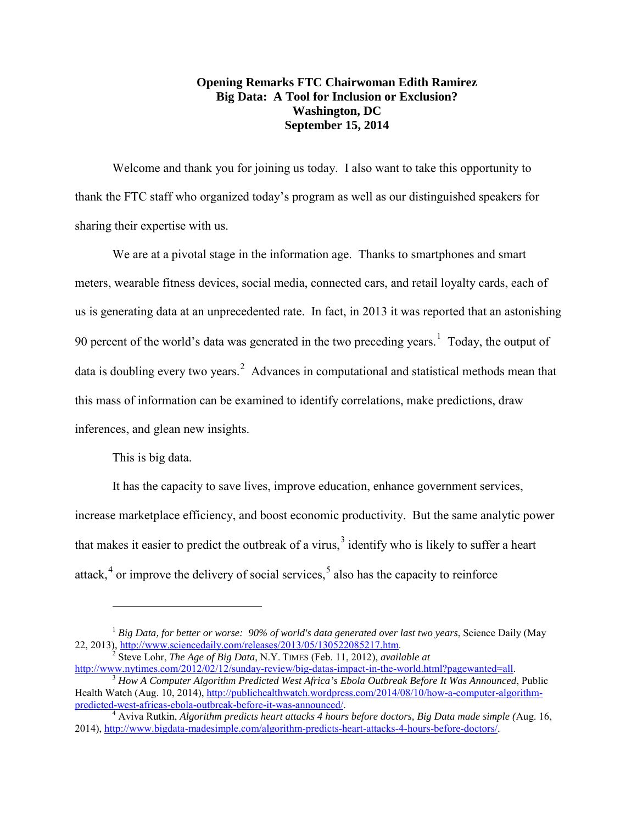## **Opening Remarks FTC Chairwoman Edith Ramirez Big Data: A Tool for Inclusion or Exclusion? Washington, DC September 15, 2014**

Welcome and thank you for joining us today. I also want to take this opportunity to thank the FTC staff who organized today's program as well as our distinguished speakers for sharing their expertise with us.

We are at a pivotal stage in the information age. Thanks to smartphones and smart meters, wearable fitness devices, social media, connected cars, and retail loyalty cards, each of us is generating data at an unprecedented rate. In fact, in 2013 it was reported that an astonishing 90 percent of the world's data was generated in the two preceding years.<sup>[1](#page-0-0)</sup> Today, the output of data is doubling every two years.<sup>[2](#page-0-1)</sup> Advances in computational and statistical methods mean that this mass of information can be examined to identify correlations, make predictions, draw inferences, and glean new insights.

This is big data.

 $\overline{a}$ 

It has the capacity to save lives, improve education, enhance government services, increase marketplace efficiency, and boost economic productivity. But the same analytic power that makes it easier to predict the outbreak of a virus, $3$  identify who is likely to suffer a heart attack,  $4$  or improve the delivery of social services,  $5$  also has the capacity to reinforce

<sup>&</sup>lt;sup>1</sup> Big Data, for better or worse: 90% of world's data generated over last two years, Science Daily (May

<span id="page-0-1"></span><span id="page-0-0"></span><sup>22, 2013),</sup> [http://www.sciencedaily.com/releases/2013/05/130522085217.htm.](http://www.sciencedaily.com/releases/2013/05/130522085217.htm) <sup>2</sup> Steve Lohr, *The Age of Big Data*, N.Y. TIMES (Feb. 11, 2012), *available at* <br>http://www.nytimes.com/2012/02/12/sunday-review/big-datas-impact

<span id="page-0-4"></span><span id="page-0-2"></span> $\frac{3}{3}$  How A Computer Algorithm Predicted West Africa's Ebola Outbreak Before It Was Announced, Public Health Watch (Aug. 10, 2014), http://publichealthwatch.wordpress.com/2014/08/10/how-a-computer-algorithm-<br>predicted-west-africas-ebola-outbreak-before-it-was-announced/.

<span id="page-0-3"></span><sup>&</sup>lt;sup>[4](http://publichealthwatch.wordpress.com/2014/08/10/how-a-computer-algorithm-predicted-west-africas-ebola-outbreak-before-it-was-announced/)</sup> Aviva Rutkin, *Algorithm predicts heart attacks 4 hours before doctors, Big Data made simple (Aug. 16,* 2014), [http://www.bigdata-madesimple.com/algorithm-predicts-heart-attacks-4-hours-before-doctors/.](http://www.bigdata-madesimple.com/algorithm-predicts-heart-attacks-4-hours-before-doctors/)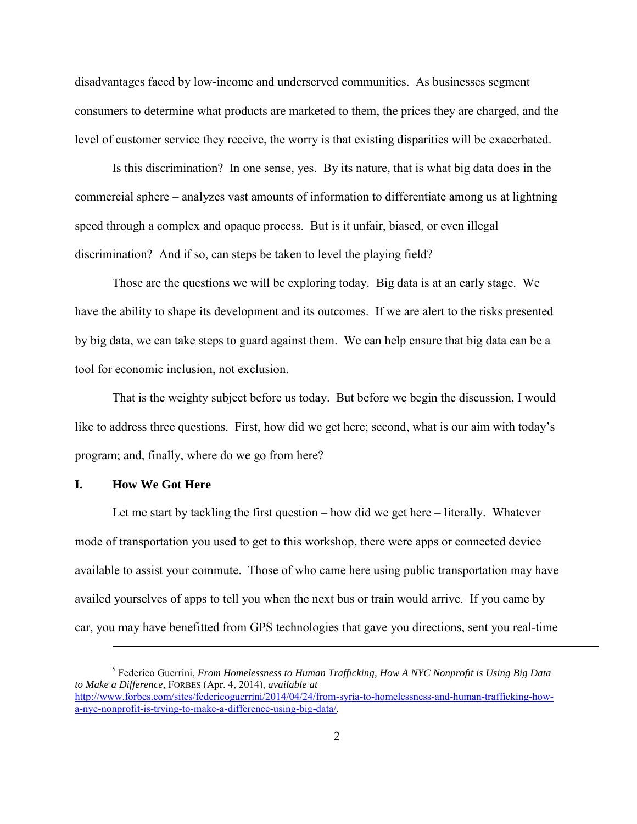disadvantages faced by low-income and underserved communities. As businesses segment consumers to determine what products are marketed to them, the prices they are charged, and the level of customer service they receive, the worry is that existing disparities will be exacerbated.

Is this discrimination? In one sense, yes. By its nature, that is what big data does in the commercial sphere – analyzes vast amounts of information to differentiate among us at lightning speed through a complex and opaque process. But is it unfair, biased, or even illegal discrimination? And if so, can steps be taken to level the playing field?

Those are the questions we will be exploring today. Big data is at an early stage. We have the ability to shape its development and its outcomes. If we are alert to the risks presented by big data, we can take steps to guard against them. We can help ensure that big data can be a tool for economic inclusion, not exclusion.

That is the weighty subject before us today. But before we begin the discussion, I would like to address three questions. First, how did we get here; second, what is our aim with today's program; and, finally, where do we go from here?

## **I. How We Got Here**

 $\overline{a}$ 

Let me start by tackling the first question – how did we get here – literally. Whatever mode of transportation you used to get to this workshop, there were apps or connected device available to assist your commute. Those of who came here using public transportation may have availed yourselves of apps to tell you when the next bus or train would arrive. If you came by car, you may have benefitted from GPS technologies that gave you directions, sent you real-time

<sup>5</sup> Federico Guerrini, *From Homelessness to Human Trafficking, How A NYC Nonprofit is Using Big Data to Make a Difference*, FORBES (Apr. 4, 2014), *available at*  [http://www.forbes.com/sites/federicoguerrini/2014/04/24/from-syria-to-homelessness-and-human-trafficking-how](http://www.forbes.com/sites/federicoguerrini/2014/04/24/from-syria-to-homelessness-and-human-trafficking-how-a-nyc-nonprofit-is-trying-to-make-a-difference-using-big-data/)[a-nyc-nonprofit-is-trying-to-make-a-difference-using-big-data/.](http://www.forbes.com/sites/federicoguerrini/2014/04/24/from-syria-to-homelessness-and-human-trafficking-how-a-nyc-nonprofit-is-trying-to-make-a-difference-using-big-data/)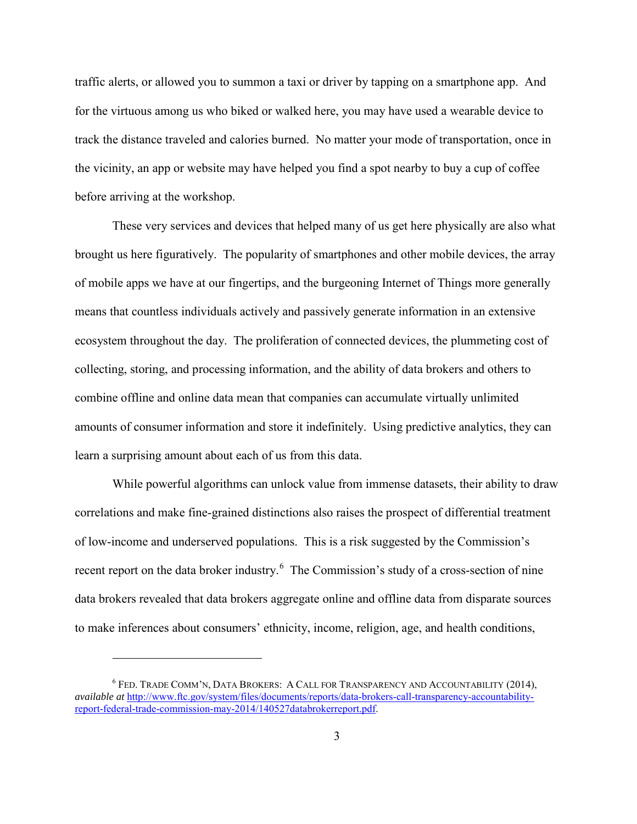traffic alerts, or allowed you to summon a taxi or driver by tapping on a smartphone app. And for the virtuous among us who biked or walked here, you may have used a wearable device to track the distance traveled and calories burned. No matter your mode of transportation, once in the vicinity, an app or website may have helped you find a spot nearby to buy a cup of coffee before arriving at the workshop.

These very services and devices that helped many of us get here physically are also what brought us here figuratively. The popularity of smartphones and other mobile devices, the array of mobile apps we have at our fingertips, and the burgeoning Internet of Things more generally means that countless individuals actively and passively generate information in an extensive ecosystem throughout the day. The proliferation of connected devices, the plummeting cost of collecting, storing, and processing information, and the ability of data brokers and others to combine offline and online data mean that companies can accumulate virtually unlimited amounts of consumer information and store it indefinitely. Using predictive analytics, they can learn a surprising amount about each of us from this data.

While powerful algorithms can unlock value from immense datasets, their ability to draw correlations and make fine-grained distinctions also raises the prospect of differential treatment of low-income and underserved populations. This is a risk suggested by the Commission's recent report on the data broker industry.<sup>[6](#page-2-0)</sup> The Commission's study of a cross-section of nine data brokers revealed that data brokers aggregate online and offline data from disparate sources to make inferences about consumers' ethnicity, income, religion, age, and health conditions,

<span id="page-2-0"></span><sup>6</sup> FED. TRADE COMM'N, DATA BROKERS: A CALL FOR TRANSPARENCY AND ACCOUNTABILITY (2014), *available at* [http://www.ftc.gov/system/files/documents/reports/data-brokers-call-transparency-accountability](http://www.ftc.gov/system/files/documents/reports/data-brokers-call-transparency-accountability-report-federal-trade-commission-may-2014/140527databrokerreport.pdf)[report-federal-trade-commission-may-2014/140527databrokerreport.pdf.](http://www.ftc.gov/system/files/documents/reports/data-brokers-call-transparency-accountability-report-federal-trade-commission-may-2014/140527databrokerreport.pdf)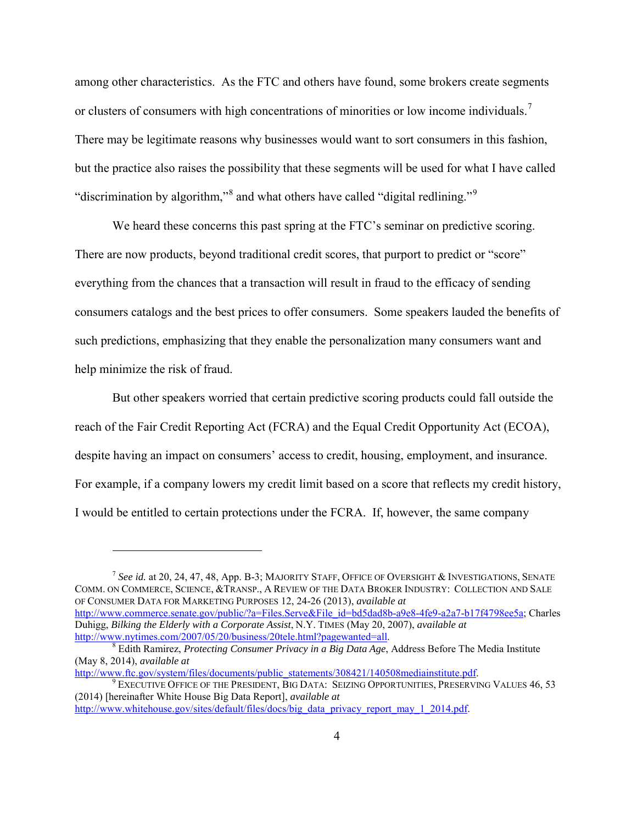among other characteristics. As the FTC and others have found, some brokers create segments or clusters of consumers with high concentrations of minorities or low income individuals.<sup>[7](#page-3-0)</sup> There may be legitimate reasons why businesses would want to sort consumers in this fashion, but the practice also raises the possibility that these segments will be used for what I have called "discrimination by algorithm,"<sup>[8](#page-3-1)</sup> and what others have called "digital redlining."<sup>[9](#page-3-2)</sup>

We heard these concerns this past spring at the FTC's seminar on predictive scoring. There are now products, beyond traditional credit scores, that purport to predict or "score" everything from the chances that a transaction will result in fraud to the efficacy of sending consumers catalogs and the best prices to offer consumers. Some speakers lauded the benefits of such predictions, emphasizing that they enable the personalization many consumers want and help minimize the risk of fraud.

But other speakers worried that certain predictive scoring products could fall outside the reach of the Fair Credit Reporting Act (FCRA) and the Equal Credit Opportunity Act (ECOA), despite having an impact on consumers' access to credit, housing, employment, and insurance. For example, if a company lowers my credit limit based on a score that reflects my credit history, I would be entitled to certain protections under the FCRA. If, however, the same company

<span id="page-3-0"></span><sup>7</sup> *See id.* at 20, 24, 47, 48, App. B-3; MAJORITY STAFF, OFFICE OF OVERSIGHT & INVESTIGATIONS, SENATE COMM. ON COMMERCE, SCIENCE, &TRANSP., A REVIEW OF THE DATA BROKER INDUSTRY: COLLECTION AND SALE OF CONSUMER DATA FOR MARKETING PURPOSES 12, 24-26 (2013), *available at* [http://www.commerce.senate.gov/public/?a=Files.Serve&File\\_id=bd5dad8b-a9e8-4fe9-a2a7-b17f4798ee5a;](http://www.commerce.senate.gov/public/?a=Files.Serve&File_id=bd5dad8b-a9e8-4fe9-a2a7-b17f4798ee5a) Charles Duhigg, *Bilking the Elderly with a Corporate Assist*, N.Y. TIMES (May 20, 2007), *available at*

<span id="page-3-1"></span> $\delta$  Edith Ramirez, *Protecting Consumer Privacy in a Big Data Age*, Address Before The Media Institute (May 8, 2014), *available at*<br>http://www.ftc.gov/system/files/documents/public\_statements/308421/140508mediainstitute.pdf.

 $^9$  $^9$  Executive Office of the President, Big Data: Seizing Opportunities, Preserving Values 46, 53

<span id="page-3-2"></span><sup>(2014) [</sup>hereinafter White House Big Data Report], *available at* [http://www.whitehouse.gov/sites/default/files/docs/big\\_data\\_privacy\\_report\\_may\\_1\\_2014.pdf.](http://www.whitehouse.gov/sites/default/files/docs/big_data_privacy_report_may_1_2014.pdf)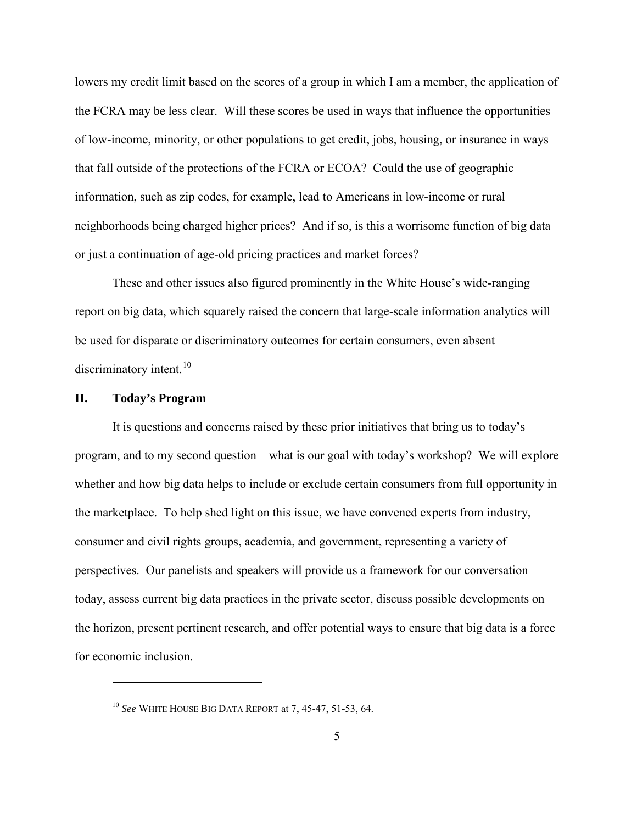lowers my credit limit based on the scores of a group in which I am a member, the application of the FCRA may be less clear. Will these scores be used in ways that influence the opportunities of low-income, minority, or other populations to get credit, jobs, housing, or insurance in ways that fall outside of the protections of the FCRA or ECOA? Could the use of geographic information, such as zip codes, for example, lead to Americans in low-income or rural neighborhoods being charged higher prices? And if so, is this a worrisome function of big data or just a continuation of age-old pricing practices and market forces?

These and other issues also figured prominently in the White House's wide-ranging report on big data, which squarely raised the concern that large-scale information analytics will be used for disparate or discriminatory outcomes for certain consumers, even absent discriminatory intent.<sup>10</sup>

## **II. Today's Program**

 $\overline{a}$ 

It is questions and concerns raised by these prior initiatives that bring us to today's program, and to my second question – what is our goal with today's workshop? We will explore whether and how big data helps to include or exclude certain consumers from full opportunity in the marketplace. To help shed light on this issue, we have convened experts from industry, consumer and civil rights groups, academia, and government, representing a variety of perspectives. Our panelists and speakers will provide us a framework for our conversation today, assess current big data practices in the private sector, discuss possible developments on the horizon, present pertinent research, and offer potential ways to ensure that big data is a force for economic inclusion.

<span id="page-4-0"></span><sup>10</sup> *See* WHITE HOUSE BIG DATA REPORT at 7, 45-47, 51-53, 64.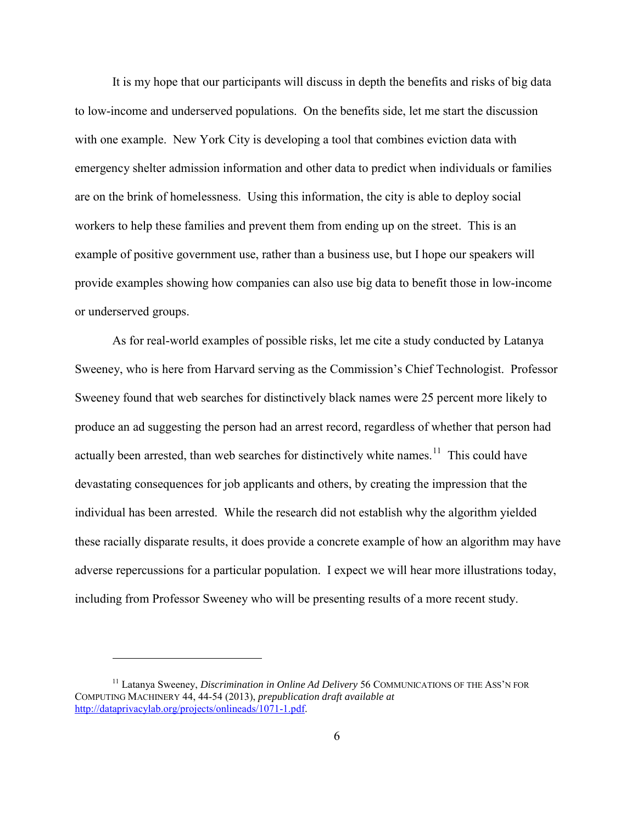It is my hope that our participants will discuss in depth the benefits and risks of big data to low-income and underserved populations. On the benefits side, let me start the discussion with one example. New York City is developing a tool that combines eviction data with emergency shelter admission information and other data to predict when individuals or families are on the brink of homelessness. Using this information, the city is able to deploy social workers to help these families and prevent them from ending up on the street. This is an example of positive government use, rather than a business use, but I hope our speakers will provide examples showing how companies can also use big data to benefit those in low-income or underserved groups.

As for real-world examples of possible risks, let me cite a study conducted by Latanya Sweeney, who is here from Harvard serving as the Commission's Chief Technologist. Professor Sweeney found that web searches for distinctively black names were 25 percent more likely to produce an ad suggesting the person had an arrest record, regardless of whether that person had actually been arrested, than web searches for distinctively white names.<sup>[11](#page-5-0)</sup> This could have devastating consequences for job applicants and others, by creating the impression that the individual has been arrested. While the research did not establish why the algorithm yielded these racially disparate results, it does provide a concrete example of how an algorithm may have adverse repercussions for a particular population. I expect we will hear more illustrations today, including from Professor Sweeney who will be presenting results of a more recent study.

<span id="page-5-0"></span><sup>&</sup>lt;sup>11</sup> Latanya Sweeney, *Discrimination in Online Ad Delivery* 56 COMMUNICATIONS OF THE ASS'N FOR COMPUTING MACHINERY 44, 44-54 (2013), *prepublication draft available at* [http://dataprivacylab.org/projects/onlineads/1071-1.pdf.](http://dataprivacylab.org/projects/onlineads/1071-1.pdf)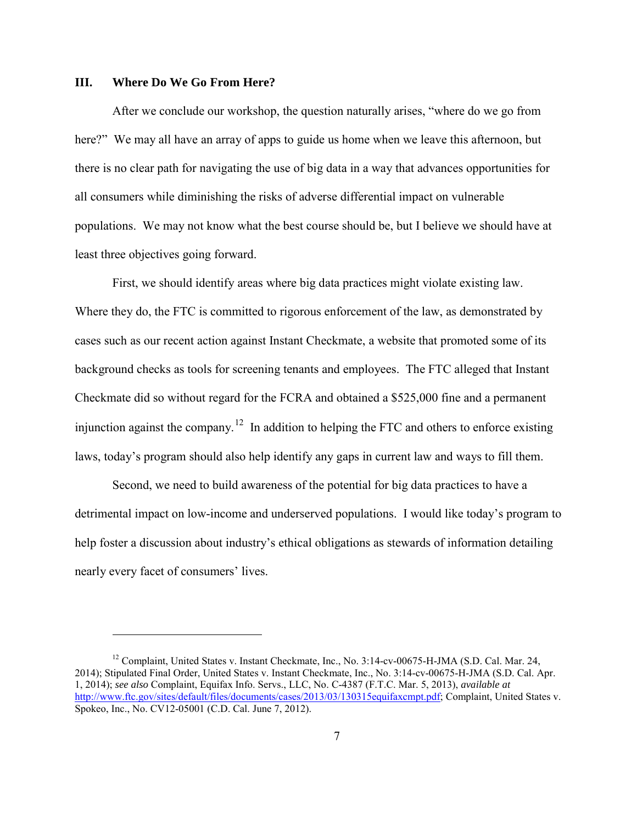## **III. Where Do We Go From Here?**

 $\overline{a}$ 

After we conclude our workshop, the question naturally arises, "where do we go from here?" We may all have an array of apps to guide us home when we leave this afternoon, but there is no clear path for navigating the use of big data in a way that advances opportunities for all consumers while diminishing the risks of adverse differential impact on vulnerable populations. We may not know what the best course should be, but I believe we should have at least three objectives going forward.

First, we should identify areas where big data practices might violate existing law. Where they do, the FTC is committed to rigorous enforcement of the law, as demonstrated by cases such as our recent action against Instant Checkmate, a website that promoted some of its background checks as tools for screening tenants and employees. The FTC alleged that Instant Checkmate did so without regard for the FCRA and obtained a \$525,000 fine and a permanent injunction against the company.<sup>[12](#page-6-0)</sup> In addition to helping the FTC and others to enforce existing laws, today's program should also help identify any gaps in current law and ways to fill them.

Second, we need to build awareness of the potential for big data practices to have a detrimental impact on low-income and underserved populations. I would like today's program to help foster a discussion about industry's ethical obligations as stewards of information detailing nearly every facet of consumers' lives.

<span id="page-6-0"></span><sup>&</sup>lt;sup>12</sup> Complaint, United States v. Instant Checkmate, Inc., No. 3:14-cv-00675-H-JMA (S.D. Cal. Mar. 24, 2014); Stipulated Final Order, United States v. Instant Checkmate, Inc., No. 3:14-cv-00675-H-JMA (S.D. Cal. Apr. 1, 2014); *see also* Complaint, Equifax Info. Servs., LLC, No. C-4387 (F.T.C. Mar. 5, 2013), *available at* [http://www.ftc.gov/sites/default/files/documents/cases/2013/03/130315equifaxcmpt.pdf;](http://www.ftc.gov/sites/default/files/documents/cases/2013/03/130315equifaxcmpt.pdf) Complaint, United States v. Spokeo, Inc., No. CV12-05001 (C.D. Cal. June 7, 2012).